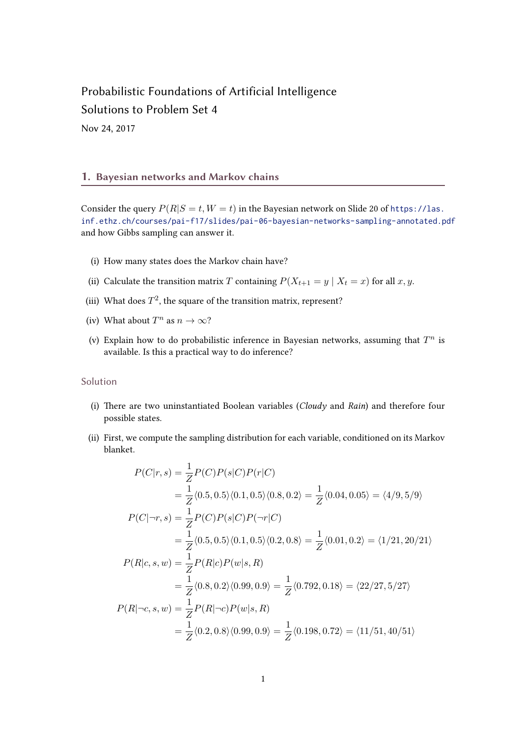# Probabilistic Foundations of Artificial Intelligence Solutions to Problem Set 4

Nov 24, 2017

### 1. Bayesian networks and Markov chains

Consider the query  $P(R|S = t, W = t)$  in the Bayesian network on Slide 20 of [https://las.](https://las.inf.ethz.ch/courses/pai-f17/slides/pai-06-bayesian-networks-sampling-annotated.pdf) [inf.ethz.ch/courses/pai-f17/slides/pai-06-bayesian-networks-sampling-annotated.pdf](https://las.inf.ethz.ch/courses/pai-f17/slides/pai-06-bayesian-networks-sampling-annotated.pdf) and how Gibbs sampling can answer it.

- (i) How many states does the Markov chain have?
- (ii) Calculate the transition matrix T containing  $P(X_{t+1} = y | X_t = x)$  for all  $x, y$ .
- (iii) What does  $T^2$ , the square of the transition matrix, represent?
- (iv) What about  $T^n$  as  $n \to \infty$ ?
- (v) Explain how to do probabilistic inference in Bayesian networks, assuming that  $T^n$  is available. Is this a practical way to do inference?

#### Solution

- (i) There are two uninstantiated Boolean variables (Cloudy and Rain) and therefore four possible states.
- (ii) First, we compute the sampling distribution for each variable, conditioned on its Markov blanket.

$$
P(C|r, s) = \frac{1}{Z} P(C) P(s|C) P(r|C)
$$
  
\n
$$
= \frac{1}{Z} \langle 0.5, 0.5 \rangle \langle 0.1, 0.5 \rangle \langle 0.8, 0.2 \rangle = \frac{1}{Z} \langle 0.04, 0.05 \rangle = \langle 4/9, 5/9 \rangle
$$
  
\n
$$
P(C|\neg r, s) = \frac{1}{Z} P(C) P(s|C) P(\neg r|C)
$$
  
\n
$$
= \frac{1}{Z} \langle 0.5, 0.5 \rangle \langle 0.1, 0.5 \rangle \langle 0.2, 0.8 \rangle = \frac{1}{Z} \langle 0.01, 0.2 \rangle = \langle 1/21, 20/21 \rangle
$$
  
\n
$$
P(R|c, s, w) = \frac{1}{Z} P(R|c) P(w|s, R)
$$
  
\n
$$
= \frac{1}{Z} \langle 0.8, 0.2 \rangle \langle 0.99, 0.9 \rangle = \frac{1}{Z} \langle 0.792, 0.18 \rangle = \langle 22/27, 5/27 \rangle
$$
  
\n
$$
P(R|\neg c, s, w) = \frac{1}{Z} P(R|\neg c) P(w|s, R)
$$
  
\n
$$
= \frac{1}{Z} \langle 0.2, 0.8 \rangle \langle 0.99, 0.9 \rangle = \frac{1}{Z} \langle 0.198, 0.72 \rangle = \langle 11/51, 40/51 \rangle
$$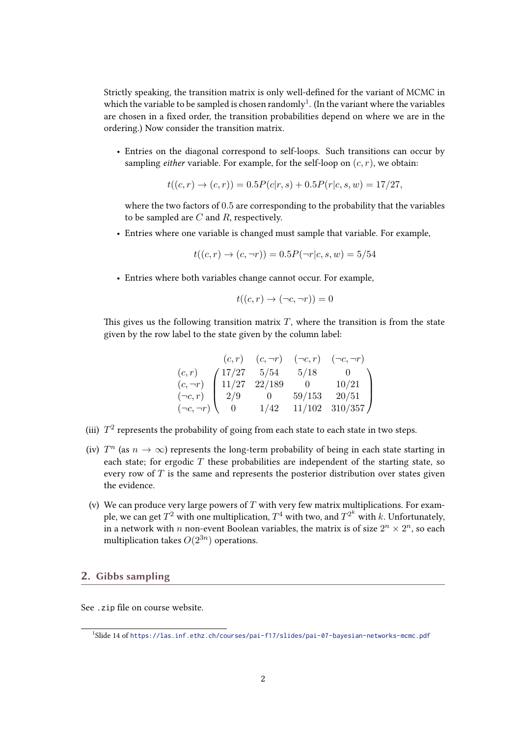Strictly speaking, the transition matrix is only well-defined for the variant of MCMC in which the variable to be sampled is chosen randomly<sup>1</sup>. (In the variant where the variables are chosen in a fixed order, the transition probabilities depend on where we are in the ordering.) Now consider the transition matrix.

• Entries on the diagonal correspond to self-loops. Such transitions can occur by sampling *either* variable. For example, for the self-loop on  $(c, r)$ , we obtain:

$$
t((c,r) \to (c,r)) = 0.5P(c|r,s) + 0.5P(r|c,s,w) = 17/27,
$$

where the two factors of 0.5 are corresponding to the probability that the variables to be sampled are  $C$  and  $R$ , respectively.

• Entries where one variable is changed must sample that variable. For example,

$$
t((c,r) \to (c,\neg r)) = 0.5P(\neg r|c,s,w) = 5/54
$$

• Entries where both variables change cannot occur. For example,

$$
t((c,r) \to (\neg c, \neg r)) = 0
$$

This gives us the following transition matrix  $T$ , where the transition is from the state given by the row label to the state given by the column label:

|                    | (c,r)  | $(c, \neg r)$ | $(\neg c, r)$ | $(\neg c, \neg r)$ |
|--------------------|--------|---------------|---------------|--------------------|
| (c,r)              | /17/27 | 5/54          | 5/18          |                    |
| $(c, \neg r)$      | 11/27  | 22/189        |               | 10/21              |
| $(\neg c, r)$      | 2/9    |               | 59/153        | 20/51              |
| $(\neg c, \neg r)$ |        | 1/42          | 11/102        | 310/357            |

- (iii)  $T^2$  represents the probability of going from each state to each state in two steps.
- (iv)  $T^n$  (as  $n \to \infty$ ) represents the long-term probability of being in each state starting in each state; for ergodic  $T$  these probabilities are independent of the starting state, so every row of  $T$  is the same and represents the posterior distribution over states given the evidence.
- (v) We can produce very large powers of  $T$  with very few matrix multiplications. For example, we can get  $T^2$  with one multiplication,  $T^4$  with two, and  $T^{2^k}$  with  $k$ . Unfortunately, in a network with  $n$  non-event Boolean variables, the matrix is of size  $2^n \times 2^n$ , so each multiplication takes  $O(2^{3n})$  operations.

## 2. Gibbs sampling

See .zip file on course website.

<sup>1</sup> Slide 14 of <https://las.inf.ethz.ch/courses/pai-f17/slides/pai-07-bayesian-networks-mcmc.pdf>